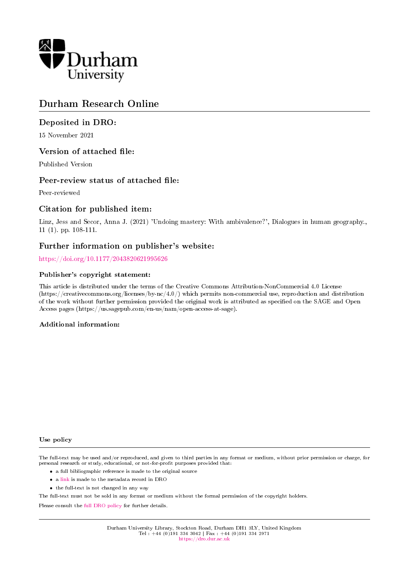

## Durham Research Online

## Deposited in DRO:

15 November 2021

## Version of attached file:

Published Version

## Peer-review status of attached file:

Peer-reviewed

## Citation for published item:

Linz, Jess and Secor, Anna J. (2021) 'Undoing mastery: With ambivalence?', Dialogues in human geography. 11 (1). pp. 108-111.

## Further information on publisher's website:

<https://doi.org/10.1177/2043820621995626>

### Publisher's copyright statement:

This article is distributed under the terms of the Creative Commons Attribution-NonCommercial 4.0 License (https://creativecommons.org/licenses/by-nc/4.0/) which permits non-commercial use, reproduction and distribution of the work without further permission provided the original work is attributed as specified on the SAGE and Open Access pages (https://us.sagepub.com/en-us/nam/open-access-at-sage).

### Additional information:

### Use policy

The full-text may be used and/or reproduced, and given to third parties in any format or medium, without prior permission or charge, for personal research or study, educational, or not-for-profit purposes provided that:

- a full bibliographic reference is made to the original source
- a [link](http://dro.dur.ac.uk/34595/) is made to the metadata record in DRO
- the full-text is not changed in any way

The full-text must not be sold in any format or medium without the formal permission of the copyright holders.

Please consult the [full DRO policy](https://dro.dur.ac.uk/policies/usepolicy.pdf) for further details.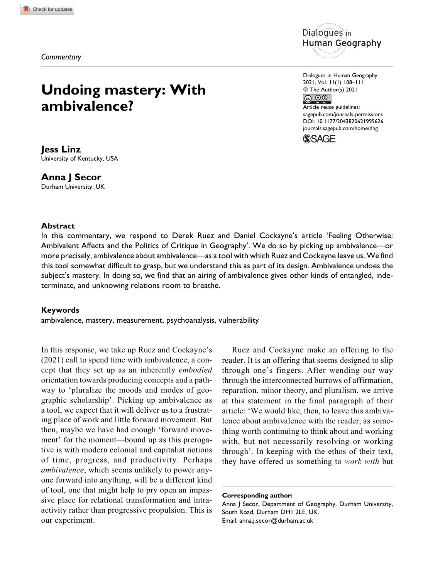*Commentary*

## **Undoing mastery: With ambivalence?**

# ัทan Geography

Dialogues in Human Geography 2021, Vol. 11(1) 108–111 © The Author(s) 2021  $\circledcirc$   $\circledcirc$ Article reuse guidelines: [sagepub.com/journals-permissions](https://sagepub.com/journals-permissions) [DOI: 10.1177/2043820621995626](https://doi.org/10.1177/2043820621995626) [journals.sagepub.com/home/dhg](http://journals.sagepub.com/home/dhg)



### **Jess Linz** University of Kentucky, USA

### **Anna J Secor**

Durham University, UK

### **Abstract**

In this commentary, we respond to Derek Ruez and Daniel Cockayne's article 'Feeling Otherwise: Ambivalent Affects and the Politics of Critique in Geography'. We do so by picking up ambivalence—or more precisely, ambivalence about ambivalence—as a tool with which Ruez and Cockayne leave us. We find this tool somewhat difficult to grasp, but we understand this as part of its design. Ambivalence undoes the subject's mastery. In doing so, we find that an airing of ambivalence gives other kinds of entangled, indeterminate, and unknowing relations room to breathe.

### **Keywords**

ambivalence, mastery, measurement, psychoanalysis, vulnerability

In this response, we take up Ruez and Cockayne's (2021) call to spend time with ambivalence, a concept that they set up as an inherently embodied orientation towards producing concepts and a pathway to 'pluralize the moods and modes of geographic scholarship'. Picking up ambivalence as a tool, we expect that it will deliver us to a frustrating place of work and little forward movement. But then, maybe we have had enough 'forward movement' for the moment—bound up as this prerogative is with modern colonial and capitalist notions of time, progress, and productivity. Perhaps ambivalence, which seems unlikely to power anyone forward into anything, will be a different kind of tool, one that might help to pry open an impassive place for relational transformation and intraactivity rather than progressive propulsion. This is our experiment.

Ruez and Cockayne make an offering to the reader. It is an offering that seems designed to slip through one's fingers. After wending our way through the interconnected burrows of affirmation, reparation, minor theory, and pluralism, we arrive at this statement in the final paragraph of their article: 'We would like, then, to leave this ambivalence about ambivalence with the reader, as something worth continuing to think about and working with, but not necessarily resolving or working through'. In keeping with the ethos of their text, they have offered us something to work with but

Anna J Secor, Department of Geography, Durham University, South Road, Durham DH1 2LE, UK. Email: [anna.j.secor@durham.ac.uk](mailto:anna.j.secor@durham.ac.uk)

**Corresponding author:**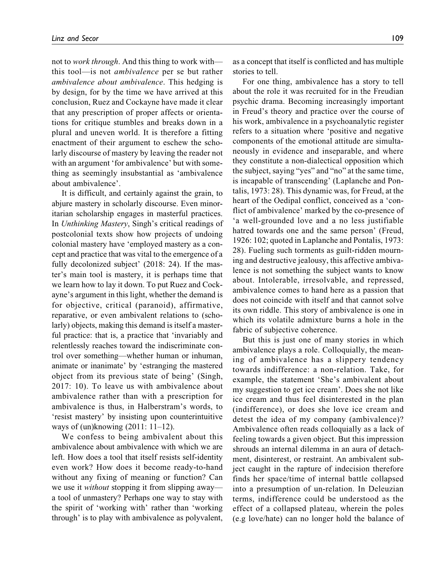not to work through. And this thing to work with this tool—is not ambivalence per se but rather ambivalence about ambivalence. This hedging is by design, for by the time we have arrived at this conclusion, Ruez and Cockayne have made it clear that any prescription of proper affects or orientations for critique stumbles and breaks down in a plural and uneven world. It is therefore a fitting enactment of their argument to eschew the scholarly discourse of mastery by leaving the reader not with an argument 'for ambivalence' but with something as seemingly insubstantial as 'ambivalence about ambivalence'.

It is difficult, and certainly against the grain, to abjure mastery in scholarly discourse. Even minoritarian scholarship engages in masterful practices. In Unthinking Mastery, Singh's critical readings of postcolonial texts show how projects of undoing colonial mastery have 'employed mastery as a concept and practice that was vital to the emergence of a fully decolonized subject' (2018: 24). If the master's main tool is mastery, it is perhaps time that we learn how to lay it down. To put Ruez and Cockayne's argument in this light, whether the demand is for objective, critical (paranoid), affirmative, reparative, or even ambivalent relations to (scholarly) objects, making this demand is itself a masterful practice: that is, a practice that 'invariably and relentlessly reaches toward the indiscriminate control over something—whether human or inhuman, animate or inanimate' by 'estranging the mastered object from its previous state of being' (Singh, 2017: 10). To leave us with ambivalence about ambivalence rather than with a prescription for ambivalence is thus, in Halberstram's words, to 'resist mastery' by insisting upon counterintuitive ways of (un)knowing (2011: 11–12).

We confess to being ambivalent about this ambivalence about ambivalence with which we are left. How does a tool that itself resists self-identity even work? How does it become ready-to-hand without any fixing of meaning or function? Can we use it *without* stopping it from slipping away a tool of unmastery? Perhaps one way to stay with the spirit of 'working with' rather than 'working through' is to play with ambivalence as polyvalent, as a concept that itself is conflicted and has multiple stories to tell.

For one thing, ambivalence has a story to tell about the role it was recruited for in the Freudian psychic drama. Becoming increasingly important in Freud's theory and practice over the course of his work, ambivalence in a psychoanalytic register refers to a situation where 'positive and negative components of the emotional attitude are simultaneously in evidence and inseparable, and where they constitute a non-dialectical opposition which the subject, saying "yes" and "no" at the same time, is incapable of transcending' (Laplanche and Pontalis, 1973: 28). This dynamic was, for Freud, at the heart of the Oedipal conflict, conceived as a 'conflict of ambivalence' marked by the co-presence of 'a well-grounded love and a no less justifiable hatred towards one and the same person' (Freud, 1926: 102; quoted in Laplanche and Pontalis, 1973: 28). Fueling such torments as guilt-ridden mourning and destructive jealousy, this affective ambivalence is not something the subject wants to know about. Intolerable, irresolvable, and repressed, ambivalence comes to hand here as a passion that does not coincide with itself and that cannot solve its own riddle. This story of ambivalence is one in which its volatile admixture burns a hole in the fabric of subjective coherence.

But this is just one of many stories in which ambivalence plays a role. Colloquially, the meaning of ambivalence has a slippery tendency towards indifference: a non-relation. Take, for example, the statement 'She's ambivalent about my suggestion to get ice cream'. Does she not like ice cream and thus feel disinterested in the plan (indifference), or does she love ice cream and detest the idea of my company (ambivalence)? Ambivalence often reads colloquially as a lack of feeling towards a given object. But this impression shrouds an internal dilemma in an aura of detachment, disinterest, or restraint. An ambivalent subject caught in the rapture of indecision therefore finds her space/time of internal battle collapsed into a presumption of un-relation. In Deleuzian terms, indifference could be understood as the effect of a collapsed plateau, wherein the poles (e.g love/hate) can no longer hold the balance of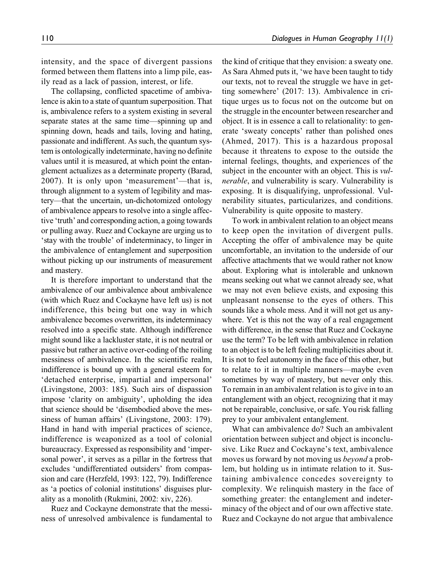intensity, and the space of divergent passions formed between them flattens into a limp pile, easily read as a lack of passion, interest, or life.

The collapsing, conflicted spacetime of ambivalence is akin to a state of quantum superposition. That is, ambivalence refers to a system existing in several separate states at the same time—spinning up and spinning down, heads and tails, loving and hating, passionate and indifferent. As such, the quantum system is ontologically indeterminate, having no definite values until it is measured, at which point the entanglement actualizes as a determinate property (Barad, 2007). It is only upon 'measurement'—that is, through alignment to a system of legibility and mastery—that the uncertain, un-dichotomized ontology of ambivalence appears to resolve into a single affective 'truth' and corresponding action, a going towards or pulling away. Ruez and Cockayne are urging us to 'stay with the trouble' of indeterminacy, to linger in the ambivalence of entanglement and superposition without picking up our instruments of measurement and mastery.

It is therefore important to understand that the ambivalence of our ambivalence about ambivalence (with which Ruez and Cockayne have left us) is not indifference, this being but one way in which ambivalence becomes overwritten, its indeterminacy resolved into a specific state. Although indifference might sound like a lackluster state, it is not neutral or passive but rather an active over-coding of the roiling messiness of ambivalence. In the scientific realm, indifference is bound up with a general esteem for 'detached enterprise, impartial and impersonal' (Livingstone, 2003: 185). Such airs of dispassion impose 'clarity on ambiguity', upholding the idea that science should be 'disembodied above the messiness of human affairs' (Livingstone, 2003: 179). Hand in hand with imperial practices of science, indifference is weaponized as a tool of colonial bureaucracy. Expressed as responsibility and 'impersonal power', it serves as a pillar in the fortress that excludes 'undifferentiated outsiders' from compassion and care (Herzfeld, 1993: 122, 79). Indifference as 'a poetics of colonial institutions' disguises plurality as a monolith (Rukmini, 2002: xiv, 226).

Ruez and Cockayne demonstrate that the messiness of unresolved ambivalence is fundamental to the kind of critique that they envision: a sweaty one. As Sara Ahmed puts it, 'we have been taught to tidy our texts, not to reveal the struggle we have in getting somewhere' (2017: 13). Ambivalence in critique urges us to focus not on the outcome but on the struggle in the encounter between researcher and object. It is in essence a call to relationality: to generate 'sweaty concepts' rather than polished ones (Ahmed, 2017). This is a hazardous proposal because it threatens to expose to the outside the internal feelings, thoughts, and experiences of the subject in the encounter with an object. This is *vul*nerable, and vulnerability is scary. Vulnerability is exposing. It is disqualifying, unprofessional. Vulnerability situates, particularizes, and conditions. Vulnerability is quite opposite to mastery.

To work in ambivalent relation to an object means to keep open the invitation of divergent pulls. Accepting the offer of ambivalence may be quite uncomfortable, an invitation to the underside of our affective attachments that we would rather not know about. Exploring what is intolerable and unknown means seeking out what we cannot already see, what we may not even believe exists, and exposing this unpleasant nonsense to the eyes of others. This sounds like a whole mess. And it will not get us anywhere. Yet is this not the way of a real engagement with difference, in the sense that Ruez and Cockayne use the term? To be left with ambivalence in relation to an object is to be left feeling multiplicities about it. It is not to feel autonomy in the face of this other, but to relate to it in multiple manners—maybe even sometimes by way of mastery, but never only this. To remain in an ambivalent relation is to give in to an entanglement with an object, recognizing that it may not be repairable, conclusive, or safe. You risk falling prey to your ambivalent entanglement.

What can ambivalence do? Such an ambivalent orientation between subject and object is inconclusive. Like Ruez and Cockayne's text, ambivalence moves us forward by not moving us beyond a problem, but holding us in intimate relation to it. Sustaining ambivalence concedes sovereignty to complexity. We relinquish mastery in the face of something greater: the entanglement and indeterminacy of the object and of our own affective state. Ruez and Cockayne do not argue that ambivalence